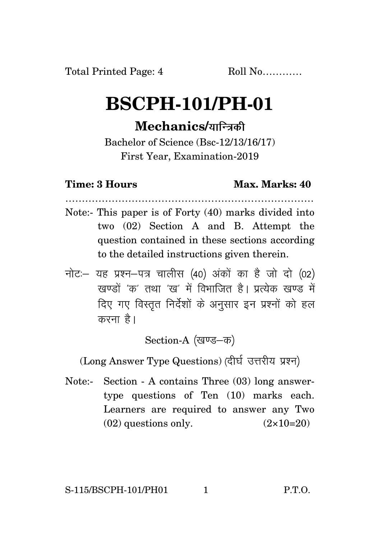## **BSCPH-101/PH-01**

## **Mechanics/**

Bachelor of Science (Bsc-12/13/16/17) First Year, Examination-2019

## **Time: 3 Hours Max. Marks: 40**

…………………………………………………………………

- Note:- This paper is of Forty (40) marks divided into two (02) Section A and B. Attempt the question contained in these sections according to the detailed instructions given therein.
- नोट: यह प्रश्न-पत्र चालीस (40) अंकों का है जो दो (02) रवण्डों 'क' तथा 'रव' में विभाजित है। पत्येक रवण्ड में दिए गए विस्तत निर्देशों के अनुसार इन प्रश्नों को हल करना है।

Section-A (खण्ड-क)

(Long Answer Type Questions) (दीर्घ उत्तरीय प्रश्न)

Note:- Section - A contains Three (03) long answertype questions of Ten (10) marks each. Learners are required to answer any Two  $(02)$  questions only.  $(2 \times 10=20)$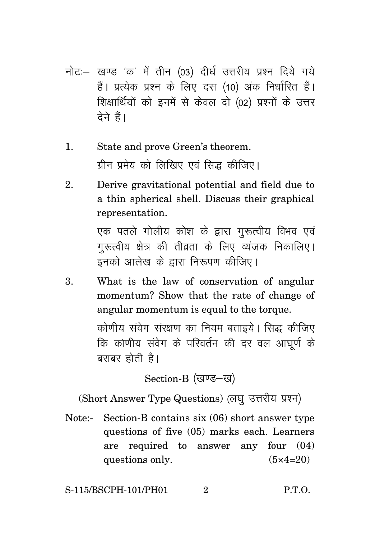- नोट:- खण्ड 'क' में तीन (03) दीर्घ उत्तरीय प्रश्न दिये गये हैं। प्रत्येक प्रश्न के लिए दस (10) अंक निर्धारित हैं। शिक्षार्थियों को इनमें से केवल दो (02) प्रश्नों के उत्तर देने हैं।
- 1. State and prove Green's theorem. ग्रीन प्रमेय को लिखिए एवं सिद्ध कीजिए।
- 2. Derive gravitational potential and field due to a thin spherical shell. Discuss their graphical representation.

एक पतले गोलीय कोश के द्वारा गुरूत्वीय विभव एवं गुरूत्वीय क्षेत्र की तीव्रता के लिए व्यंजक निकालिए। इनको आलेख के द्वारा निरूपण कीजिए।

3. What is the law of conservation of angular momentum? Show that the rate of change of angular momentum is equal to the torque.

> कोणीय संवेग संरक्षण का नियम बताइये। सिद्ध कीजिए कि कोणीय संवेग के परिवर्तन की दर वल आघूर्ण के बराबर होती है।

> > Section-B (खण्ड-ख)

(Short Answer Type Questions) (लघु उत्तरीय प्रश्न)

Note:- Section-B contains six (06) short answer type questions of five (05) marks each. Learners are required to answer any four (04) questions only.  $(5 \times 4=20)$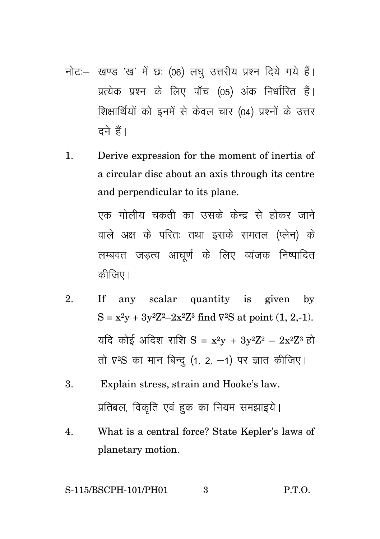- नोट :- खण्ड 'ख' में छः (06) लघु उत्तरीय प्रश्न दिये गये हैं। प्रत्येक प्रश्न के लिए पाँच (05) अंक निर्धारित हैं। शिक्षार्थियों को इनमें से केवल चार (04) प्रश्नों के उत्तर टने हैं।
- 1. Derive expression for the moment of inertia of a circular disc about an axis through its centre and perpendicular to its plane.

एक गोलीय चकती का उसके केन्द्र से होकर जाने वाले अक्ष के परितः तथा इसके समतल (प्लेन) के लम्बवत जड़त्व आघूर्ण के लिए व्यंजक निष्पादित कीजिए।

- 2. If any scalar quantity is given by  $S = x^2y + 3y^2Z^2 - 2x^2Z^3$  find  $\nabla^2S$  at point  $(1, 2, -1)$ . यदि कोई अदिश राशि  $S = x^2v + 3v^2Z^2 - 2x^2Z^3$  हो तो ए<sup>2</sup>S का मान बिन्दु (1, 2, -1) पर ज्ञात कीजिए।
- 3. Explain stress, strain and Hooke's law. प्रतिबल, विकृति एवं हुक का नियम समझाइये।
- 4. What is a central force? State Kepler's laws of planetary motion.